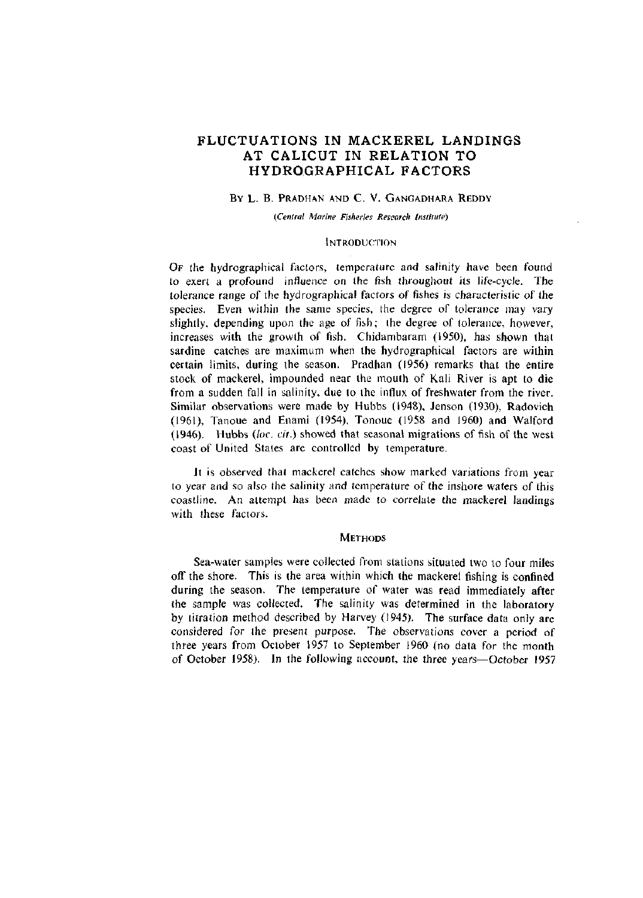# **FLUCTUATIONS IN MACKEREL LANDINGS AT CALICUT IN RELATION TO HYDROGRAPHICAL FACTORS**

# BY L. B. PRADHAN AND C. V. GANGADHARA REDDY

*(Central Marine Fisheries Research Institute)* 

## **INTRODUCTION**

OF the hydrographical factors, temperature and salinity have been found to exert a profound influence on the fish throughout its life-cycle. The tolerance range of the hydrographical factors of fishes is characteristic of the species. Even within the same species, the degree of tolerance may vary slightly, depending upon the age of fish; the degree of tolerance, however, increases with the growth of fish. Chidambaram (1950), has shown that sardine catches are maximum when the hydrographical factors are within certain limits, during the season. Pradhan (1956) remarks that the entire stock of mackerel, impounded near the mouth of Kali River is apt to die from a sudden fall in salinity, due to the influx of freshwater from the river. Similar observations were made by Hubbs (1948), Jenson (1930), Radovich (1961), Tanoue and Enami (1954), Tonoue (1958 and 1960) and Walford (1946). Hubbs *{loc. cit.)* showed that seasonal migrations of fish of the west coast of United States are controlled by temperature.

Jt is observed that mackerel catches show marked variations from year to year and so also the salinity and temperature of the inshore waters of this coastline. An attempt has been made to correlate the mackerel landings with these factors.

#### **METHODS**

Sea-water samples were collected from stations situated two to four miles off the shore. This is the area within which the mackerel fishing is confined during the season. The temperature of water was read immediately after the sample was collected. The salinity was determined in the laboratory by titration method described by Harvey (1945). The surface data only are considered for the present purpose. The observations cover a period of three years from October 1957 to September 1960 (no data for the month of October 1958). In the following account, the three years—October 1957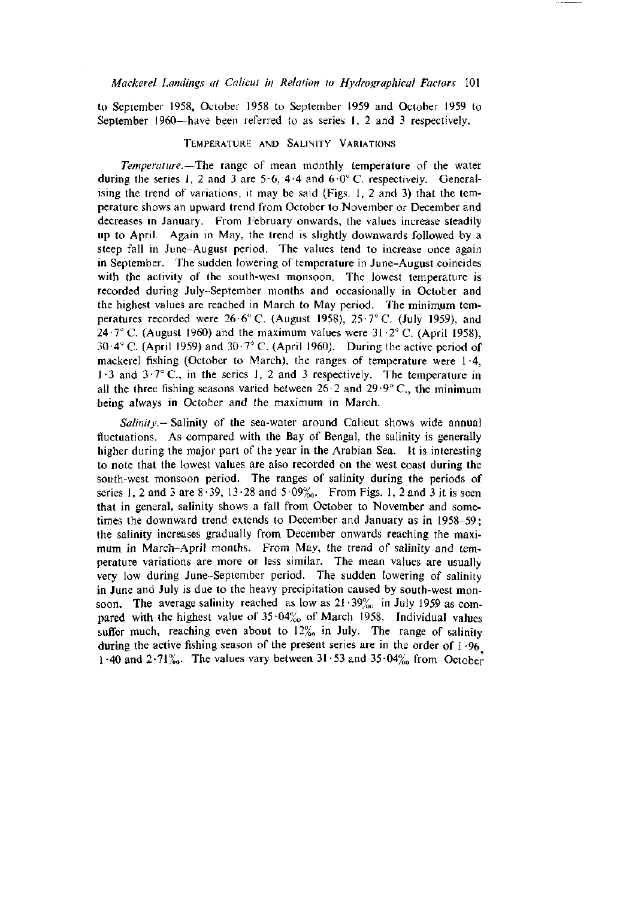to September 1958, October 1958 to September 1959 and October 1959 to September I960—have been referred to as series 1, 2 and 3 respectively.

## TEMPERATURE AND SALINITY VARIATIONS

*Temperature.*—The range of mean mdnthly temperature of the water during the series 1, 2 and 3 are  $5.6$ , 4.4 and  $6.0^{\circ}$  C. respectively. Generalising the trend of variations, it may be said (Figs. 1, 2 and 3) that the temperature shows an upward trend from October to November or December and decreases in January. From February onwards, the values increase steadily up to April. Again in May, the trend is slightly downwards followed by a steep fall in June-August period. The values tend to increase once again in September. The sudden lowering of temperature in June-August coincides with the activity of the south-west monsoon. The lowest temperature is recorded during July-September months and occasionally in October and the highest values are reached in March to May period. The minimum temperatures recorded were  $26.6^{\circ}$  C. (August 1958),  $25.7^{\circ}$  C. (July 1959), and 24 $\cdot$ 7° C. (August 1960) and the maximum values were 31 $\cdot$ 2° C. (April 1958), 30.4° C. (April 1959) and 30.7° C. (April 1960). During the active period of mackerel fishing (October to March), the ranges of temperature were 1-4,  $1.3$  and  $3.7^\circ$  C., in the series 1, 2 and 3 respectively. The temperature in all the three fishing seasons varied between  $26 \cdot 2$  and  $29 \cdot 9^{\circ}$  C, the minimum being always in October and the maximum in March.

*Salinity.*—Salinity of the sea-water around Calicut shows wide annual fluctuations. As compared with the Bay of Bengal, the salinity is generally higher during the major part of the year in the Arabian Sea. It is interesting to note that the lowest values are also recorded on the west coast during the south-west monsoon period. The ranges of salinity during the periods of series 1, 2 and 3 are  $8.39$ ,  $13.28$  and  $5.09\%$ . From Figs. 1, 2 and 3 it is seen that in general, salinity shows a fall from October to November and sometimes the downward trend extends to December and January as in 1958-59; the salinity increases gradually from December onwards reaching the maximum in March-April months. From May, the trend of salinity and temperature variations are more or less similar. The mean values are usually very low during June-September period. The sudden lowering of salinity in June and July is due to the heavy precipitation caused by south-west monsoon. The average salinity reached as low as  $21 \cdot 39\%$  in July 1959 as compared with the highest value of  $35.04\%$  of March 1958. Individual values suffer much, reaching even about to  $12\%$  in July. The range of salinity during the active fishing season of the present series are in the order of  $1.96$ 1.40 and  $2.71\%$ . The values vary between  $31.53$  and  $35.04\%$  from October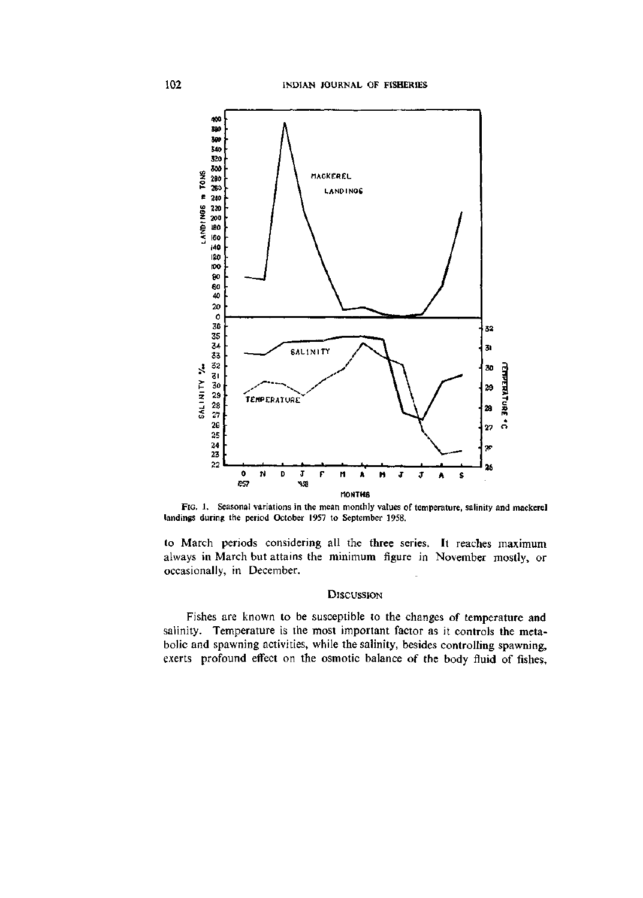

FIG. 1. Seasonal variations in the mean monthly values of temperature, salinity and mackerel landings during the period October 1957 to September 1958,

to March periods considering all the three series. It reaches maximum always in March but attains the minimum figure in November mostly, or occasionally, in December.

# **DISCUSSION**

Fishes are known to be susceptible to the changes of temperature and salinity. Temperature is the most important factor as it controls the metabolic and spawning activities, while the salinity, besides controlling spawning, exerts profound effect on the osmotic balance of the body fluid of fishes,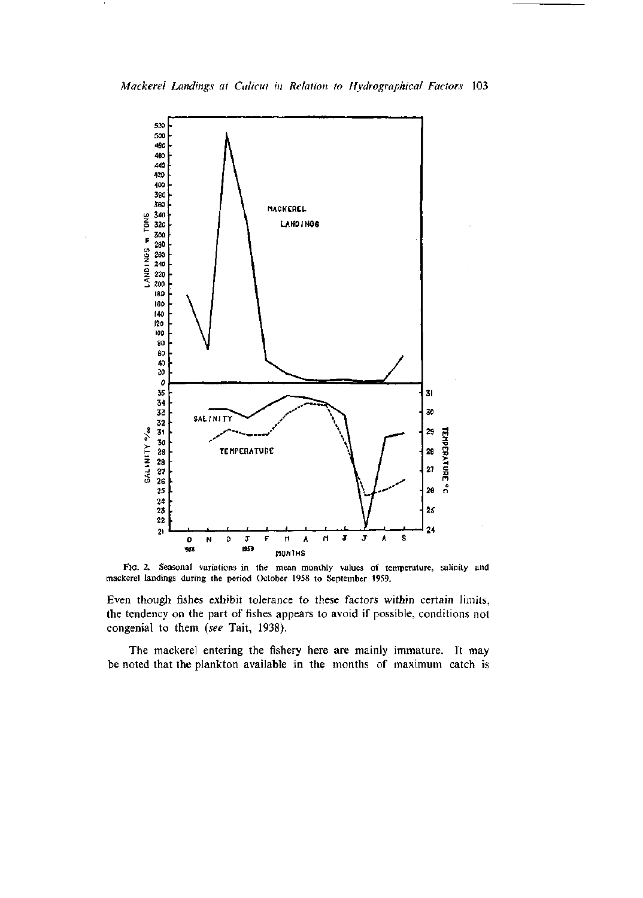

FIG. 2. Seasonal variations in the mean monthly values of temperature, salinity and mackerel landings during the period October 1958 to September 1959.

Even though fishes exhibit tolerance to these factors within certain limits, the tendency on the part of fishes appears to avoid if possible, conditions not congenial to them *{see* Tait, 1938).

The mackerel entering the fishery here are mainly immature. It may he noted that the plankton available in the months of maximum catch is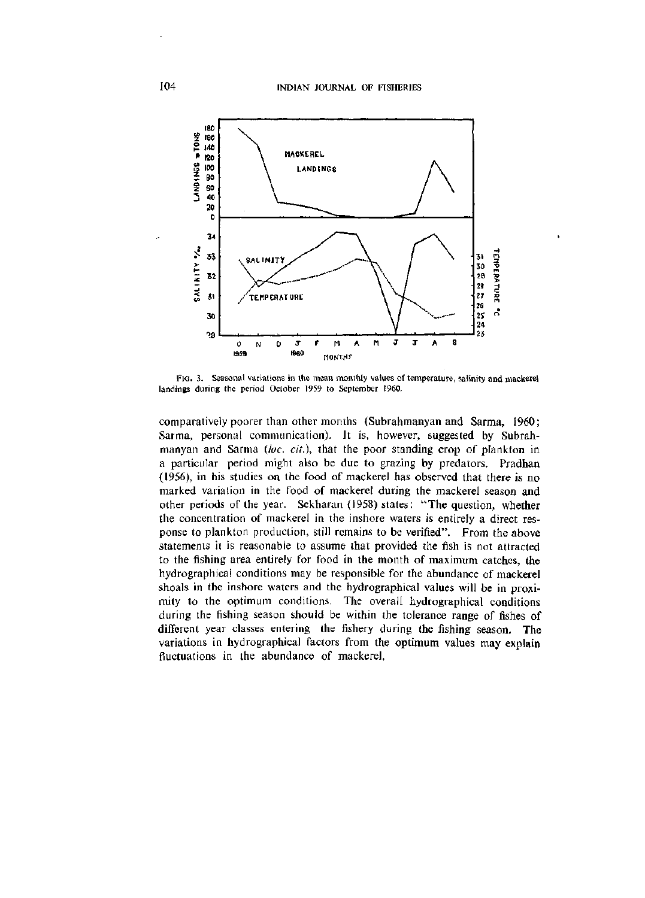

FIG. 3. Seasonal variations in the mean monthly values of temperature, salinity and mackerel landings during the period October 1959 to September 1960.

comparatively poorer than other months (Subrahmanyan and Sarma, 1960; Sarma, personal communication). It is, however, suggested by Subrahmanyan and Sarma *{loc. cit.),* that the poor standing crop of plankton in a particular period might also be due to grazing by predators. Pradhan (1956), in his studies on the food of mackerel has observed that there is no marked variation in the food of mackerel during the mackerel season and other periods of the year. Sekharan (1958) states: "The question, whether the concentration of mackerel in the inshore waters is entirely a direct response to plankton production, still remains to be verified". From the above statements it is reasonable to assume that provided the fish is not attracted to the fishing area entirely for food in the month of maximum catches, the hydrographical conditions may be responsible for the abundance of mackerel shoals in the inshore waters and the hydrographical values will be in proximity to the optimum conditions. The overall hydrographical conditions during the fishing season should be within the tolerance range of fishes of different year classes entering the fishery during the fishing season. The variations in hydrographical factors from the optimum values may explain fluctuations in the abundance of mackerel,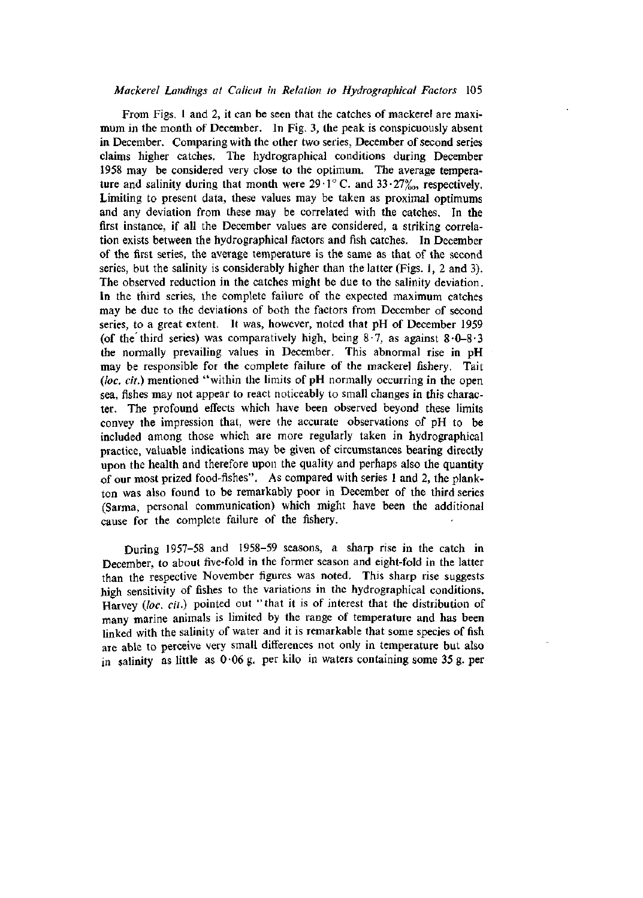From Figs. 1 and 2, it can be seen that the catches of mackerel are maximum in the month of December. In Fig. 3, the peak is conspicuously absent in December. Comparing with the other two series, December of second series claims higher catches. The hydrographical conditions during December 1958 may be considered very close to the optimum. The average temperature and salinity during that month were  $29.1^{\circ}$  C. and  $33.27%$ <sub>0</sub>, respectively. Limiting to present data, these values may be taken as proximal optimums and any deviation from these may be correlated with the catches. In the first instance, if all the December values are considered, a striking correlation exists between the hydrographical factors and fish catches. In December of the first series, the average temperature is the same as that of the second series, but the salinity is considerably higher than the latter (Figs. 1, 2 and 3). The observed reduction in the catches might be due to the salinity deviation. In the third series, the complete failure of the expected maximum catches may be due to the deviations of both the factors from December of second series, to a great extent. It was, however, noted that pH of December 1959 (of the third series) was comparatively high, being  $8 \cdot 7$ , as against  $8 \cdot 0 - 8 \cdot 3$ the normally prevailing values in December. This abnormal rise in pH may be responsible for the complete failure of the mackerel fishery. Tait *{loc. cit.)* mentioned "within the limits of pH normally occurring in the open sea, fishes may not appear to react noticeably to small changes in this character. The profound effects which have been observed beyond these limits convey the impression that, were the accurate observations of pH to be included among those which are more regularly taken in hydrographical practice, valuable indications may be given of circumstances bearing directly upon the health and therefore upon the quality and perhaps also the quantity of our most prized food-fishes". As compared with series 1 and 2, the plankton was also found to be remarkably poor in December of the third series (Sarma, personal communication) which might have been the additional cause for the complete failure of the fishery.

During 1957-58 and 1958-59 seasons, a sharp rise in the catch in December, to about five-fold in the former season and eight-fold in the latter than the respective November figures was noted. This sharp rise suggests high sensitivity of fishes to the variations in the hydrographical conditions. Harvey (loc. cit.) pointed out "that it is of interest that the distribution of many marine animals is limited by the range of temperature and has been linked with the salinity of water and it is remarkable that some species of fish are able to perceive very small differences not only in temperature but also in salinity as little as  $0.06$  g. per kilo in waters containing some 35 g. per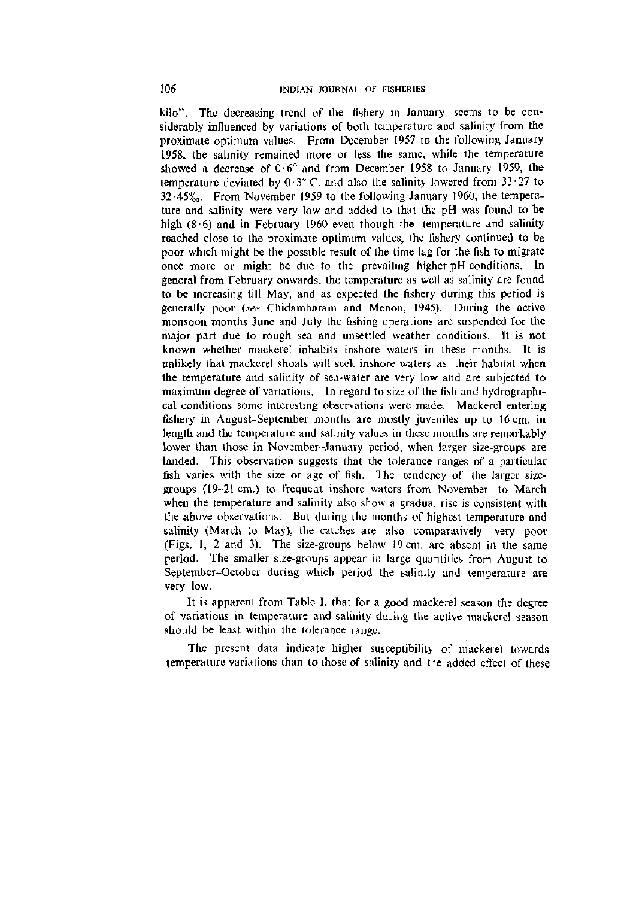kilo". The decreasing trend of the fishery in January seems to be considerably influenced by variations of both temperature and salinity from the proximate optimum values. From December 1957 to the following January 1958, the salinity remained more or less the same, while the temperature showed a decrease of  $0.6^\circ$  and from December 1958 to January 1959, the temperature deviated by  $0.3^{\circ}$  C. and also the salinity lowered from  $33.27$  to  $32.45\%$ . From November 1959 to the following January 1960, the temperature and salinity were very low and added to that the pH was found to be high  $(8.6)$  and in February 1960 even though the temperature and salinity reached close to the proximate optimum values, the fishery continued to be poor which might be the possible result of the time lag for the fish to migrate once more or might be due to the prevailing higher pH conditions. In general from February onwards, the temperature as well as salinity are found to be increasing till May, and as expected the fishery during this period is generally poor *(see* Chidambaram and Menon, 1945). During the active monsoon months June and July the fishing operations are suspended for the major part due to rough sea and unsettled weather conditions. It is not known whether mackerel inhabits inshore waters in these months. It is unlikely that mackerel shoals will seek inshore waters as their habitat when the temperature and salinity of sea-water are very low and are subjected to maximum degree of variations. In regard to size of the fish and hydrographical conditions some interesting observations were made. Mackerel entering fishery in August-September months are mostly juveniles up to 16 cm. in length and the temperature and salinity values in these months are remarkably lower than those in November-January period, when larger size-groups are landed. This observation suggests that the tolerance ranges of a particular fish varies with the size or age of fish. The tendency of the larger sizegroups (19-21 cm.) to frequent inshore waters from November to March when the temperature and salinity also show a gradual rise is consistent with the above observations. But during the months of highest temperature and salinity (March to May), the catches are also comparatively very poor (Figs. 1, 2 and 3). The size-groups below 19 cm. are absent in the same period. The smaller size-groups appear in large quantities from August to September-October during which period the salinity and temperature are very low.

It is apparent from Table I, that for a good mackerel season the degree of variations in temperature and salinity during the active mackerel season should be least within the tolerance range.

The present data indicate higher susceptibility of mackerel towards temperature variations than to those of salinity and the added effect of these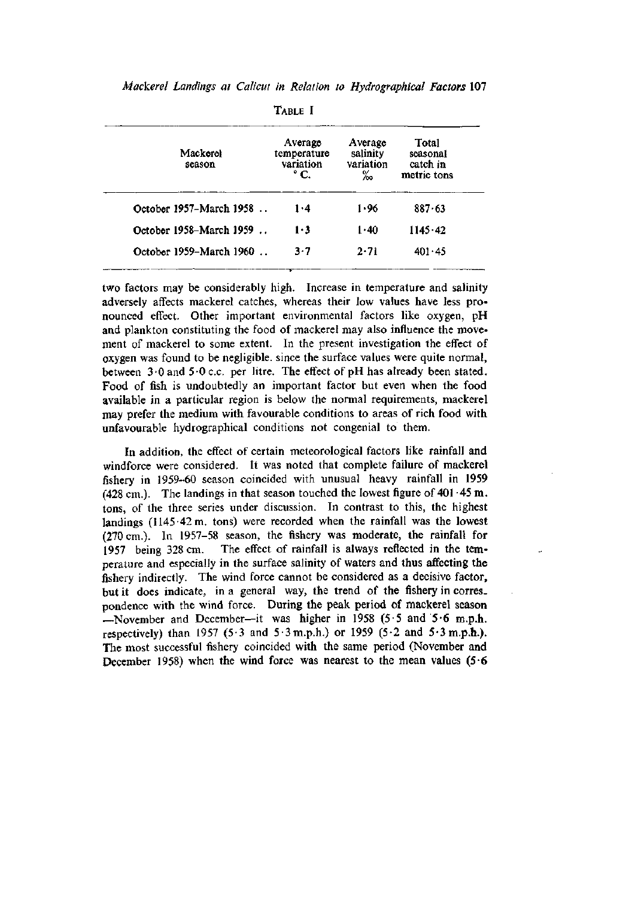|                         | TVRIF 1                                     |                                       |                                              |
|-------------------------|---------------------------------------------|---------------------------------------|----------------------------------------------|
| Mackerel<br>season      | Average<br>temperature<br>variation<br>° C. | Average<br>salinity<br>variation<br>‰ | Total<br>seasonal<br>catch in<br>metric tons |
| October 1957–March 1958 | 1.4                                         | 1.96                                  | 887.63                                       |
| October 1958-March 1959 | 1·3                                         | 1.40                                  | 1145.42                                      |
| October 1959-March 1960 | 3.7                                         | 2.71                                  | 401.45                                       |

 $T = T$ 

two factors may be considerably high. Increase in temperature and salinity adversely affects mackerel catches, whereas their low values have less pronounced effect. Other important environmental factors like oxygen, pH and plankton constituting the food of mackerel may also influence the movement of mackerel to some extent. In the present investigation the effect of oxygen was found to be negligible, since the surface values were quite normal, between  $3.0$  and  $5.0$  c.c. per litre. The effect of pH has already been stated. Food of fish is undoubtedly an important factor but even when the food available in a particular region is below the normal requirements, mackerel may prefer the medium with favourable conditions to areas of rich food with unfavourable hydrographical conditions not congenial to them.

In addition, the effect of certain meteorological factors like rainfall and windforce were considered. It was noted that complete failure of mackerel fishery in 1959-60 season coincided with unusual heavy rainfall in 1959 (428 cm.). The landings in that season touched the lowest figure of  $401 \cdot 45$  m. tons, of the three series under discussion. In contrast to this, the highest landings (1145-42 m. tons) were recorded when the rainfall was the lowest (270 cm.). In 1957-58 season, the fishery was moderate, the rainfall for 1957 being 328 cm. The effect of rainfall is always reflected in the temperature and especially in the surface salinity of waters and thus affecting the fishery indirectly. The wind force cannot be considered as a decisive factor, but it does indicate, in a general way, the trend of the fishery in corres. pondence with the wind force. During the peak period of mackerel season —November and December—it was higher in 1958 (5.5 and 5.6 m.p.h. respectively) than 1957 (5.3 and 5.3 m.p.h.) or 1959 (5.2 and 5.3 m.p.h.). The most successful fishery coincided with the same period (November and December 1958) when the wind force was nearest to the mean values  $(5.6$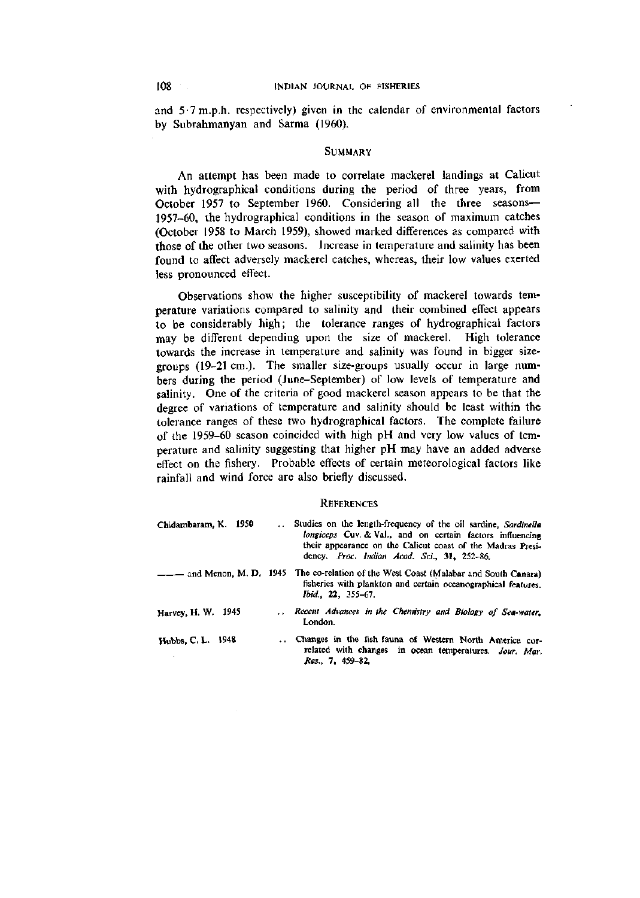and  $5.7$  m.p.h. respectively) given in the calendar of environmental factors by Subrahmanyan and Sarma (1960).

#### SUMMARY

An attempt has been made to correlate mackerel landings at Calicut with hydrographical conditions during the period of three years, from October 1957 to September 1960. Considering all the three seasons— 1957-60, the hydrographical conditions in the season of maximum catches (October 1958 to March 1959), showed marked differences as compared with those of the other two seasons. Increase in temperature and salinity has been found to affect adversely mackerel catches, whereas, their low values exerted less pronounced effect.

Observations show the higher susceptibility of mackerel towards temperature variations compared to salinity and their combined effect appears to be considerably high; the tolerance ranges of hydrographical factors may be different depending upon the size of mackerel. High tolerance towards the increase in temperature and salinity was found in bigger sizegroups (19-21 cm.). The smaller size-groups usually occur in large numbers during the period (June-September) of low levels of temperature and salinity. One of the criteria of good mackerel season appears to be that the degree of variations of temperature and salinity should be least within the tolerance ranges of these two hydrographical factors. The complete failure of the 1959-60 season coincided with high pH and very low values of temperature and salinity suggesting that higher pH may have an added adverse effect on the fishery. Probable effects of certain meteorological factors like rainfall and wind force are also briefly discussed.

#### **REFERENCES**

| Chidambaram, K. 1950 | Studies on the length-frequency of the oil sardine, Sardinella<br>longiceps Cuv. & Val., and on certain factors influencing<br>their appearance on the Calicut coast of the Madras Presi-<br>dency. Proc. Indian Acad. Sci., 31, 252-86. |
|----------------------|------------------------------------------------------------------------------------------------------------------------------------------------------------------------------------------------------------------------------------------|
|                      | -- and Menon, M. D. 1945 The co-relation of the West Coast (Malabar and South Canara)<br>fisheries with plankton and certain oceanographical features.<br><i>Ibid.</i> , 22, 355–67.                                                     |
| Harvey, H. W. 1945   | Recent Advances in the Chemistry and Biology of Sea-water.<br>London.                                                                                                                                                                    |
| Hubbs, C. L. 1948    | Changes in the fish fauna of Western North America cor-<br>related with changes in ocean temperatures. Jour. Mar.<br>Res., 7, 459-82,                                                                                                    |